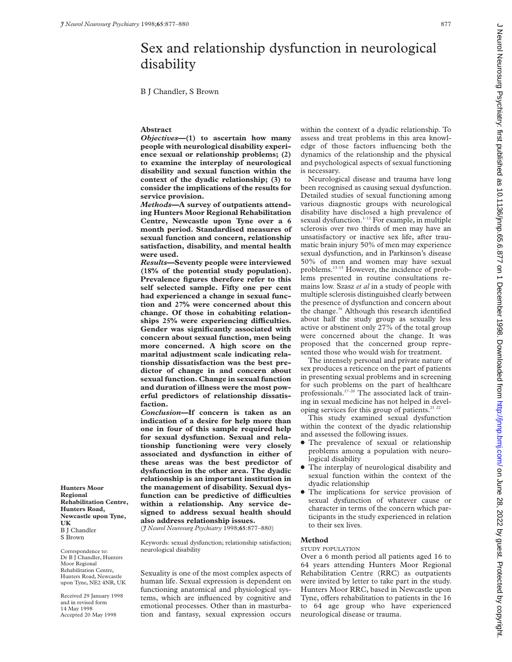B J Chandler, S Brown

# **Abstract**

*Objectives***—(1) to ascertain how many people with neurological disability experience sexual or relationship problems; (2) to examine the interplay of neurological disability and sexual function within the context of the dyadic relationship; (3) to consider the implications of the results for service provision.**

*Methods—***A survey of outpatients attending Hunters Moor Regional Rehabilitation Centre, Newcastle upon Tyne over a 6 month period. Standardised measures of sexual function and concern, relationship satisfaction, disability, and mental health were used.**

*Results***—Seventy people were interviewed (18% of the potential study population). Prevalence figures therefore refer to this self selected sample. Fifty one per cent had experienced a change in sexual function and 27% were concerned about this change. Of those in cohabiting relation**ships 25% were experiencing difficulties. **Gender was significantly associated with concern about sexual function, men being more concerned. A high score on the marital adjustment scale indicating relationship dissatisfaction was the best predictor of change in and concern about sexual function. Change in sexual function and duration of illness were the most powerful predictors of relationship dissatisfaction.**

*Conclusion—***If concern is taken as an indication of a desire for help more than one in four of this sample required help for sexual dysfunction. Sexual and relationship functioning were very closely associated and dysfunction in either of these areas was the best predictor of dysfunction in the other area. The dyadic relationship is an important institution in the management of disability. Sexual dys**function can be predictive of difficulties **within a relationship. Any service designed to address sexual health should also address relationship issues.**

(*J Neurol Neurosurg Psychiatry* 1998;**65**:877–880)

Keywords: sexual dysfunction; relationship satisfaction; neurological disability

Sexuality is one of the most complex aspects of human life. Sexual expression is dependent on functioning anatomical and physiological systems, which are influenced by cognitive and emotional processes. Other than in masturbation and fantasy, sexual expression occurs

within the context of a dyadic relationship. To assess and treat problems in this area knowledge of those factors influencing both the dynamics of the relationship and the physical and psychological aspects of sexual functioning is necessary.

Neurological disease and trauma have long been recognised as causing sexual dysfunction. Detailed studies of sexual functioning among various diagnostic groups with neurological disability have disclosed a high prevalence of sexual dysfunction.<sup>1-12</sup> For example, in multiple sclerosis over two thirds of men may have an unsatisfactory or inactive sex life, after traumatic brain injury 50% of men may experience sexual dysfunction, and in Parkinson's disease 50% of men and women may have sexual problems.13–15 However, the incidence of problems presented in routine consultations remains low. Szasz *et al* in a study of people with multiple sclerosis distinguished clearly between the presence of dysfunction and concern about the change.16 Although this research identified about half the study group as sexually less active or abstinent only 27% of the total group were concerned about the change. It was proposed that the concerned group represented those who would wish for treatment.

The intensely personal and private nature of sex produces a reticence on the part of patients in presenting sexual problems and in screening for such problems on the part of healthcare professionals.17–20 The associated lack of training in sexual medicine has not helped in developing services for this group of patients.<sup>21</sup> <sup>22</sup>

This study examined sexual dysfunction within the context of the dyadic relationship and assessed the following issues.

- The prevalence of sexual or relationship problems among a population with neurological disability
- The interplay of neurological disability and sexual function within the context of the dyadic relationship
- The implications for service provision of sexual dysfunction of whatever cause or character in terms of the concern which participants in the study experienced in relation to their sex lives.

# **Method**

### STUDY POPULATION

Over a 6 month period all patients aged 16 to 64 years attending Hunters Moor Regional Rehabilitation Centre (RRC) as outpatients were invited by letter to take part in the study. Hunters Moor RRC, based in Newcastle upon Tyne, offers rehabilitation to patients in the 16 to 64 age group who have experienced neurological disease or trauma.

**Hunters Moor Regional Rehabilitation Centre, Hunters Road, Newcastle upon Tyne, UK** B J Chandler S Brown

Correspondence to: Dr B J Chandler, Hunters Moor Regional Rehabilitation Centre, Hunters Road, Newcastle upon Tyne, NE2 4NR, UK

Received 29 January 1998 and in revised form 14 May 1998 Accepted 20 May 1998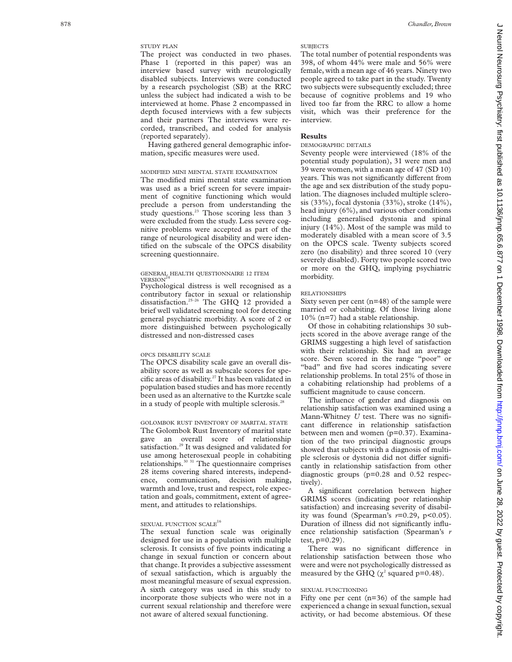# STUDY PLAN

The project was conducted in two phases. Phase 1 (reported in this paper) was an interview based survey with neurologically disabled subjects. Interviews were conducted by a research psychologist (SB) at the RRC unless the subject had indicated a wish to be interviewed at home. Phase 2 encompassed in depth focused interviews with a few subjects and their partners The interviews were recorded, transcribed, and coded for analysis (reported separately).

Having gathered general demographic information, specific measures were used.

### MODIFIED MINI MENTAL STATE EXAMINATION

The modified mini mental state examination was used as a brief screen for severe impairment of cognitive functioning which would preclude a person from understanding the study questions.<sup>23</sup> Those scoring less than 3 were excluded from the study. Less severe cognitive problems were accepted as part of the range of neurological disability and were identified on the subscale of the OPCS disability screening questionnaire.

#### GENERAL HEALTH QUESTIONNAIRE 12 ITEM **VERSION**

Psychological distress is well recognised as a contributory factor in sexual or relationship dissatisfaction.25–26 The GHQ 12 provided a brief well validated screening tool for detecting general psychiatric morbidity. A score of 2 or more distinguished between psychologically distressed and non-distressed cases

#### OPCS DISABILITY SCALE

The OPCS disability scale gave an overall disability score as well as subscale scores for specific areas of disability.27 It has been validated in population based studies and has more recently been used as an alternative to the Kurtzke scale in a study of people with multiple sclerosis.<sup>28</sup>

GOLOMBOK RUST INVENTORY OF MARITAL STATE The Golombok Rust Inventory of marital state gave an overall score of relationship satisfaction.<sup>29</sup> It was designed and validated for use among heterosexual people in cohabiting relationships.30 31 The questionnaire comprises 28 items covering shared interests, independence, communication, decision making, warmth and love, trust and respect, role expectation and goals, commitment, extent of agreement, and attitudes to relationships.

# SEXUAL FUNCTION SCALE<sup>16</sup>

The sexual function scale was originally designed for use in a population with multiple sclerosis. It consists of five points indicating a change in sexual function or concern about that change. It provides a subjective assessment of sexual satisfaction, which is arguably the most meaningful measure of sexual expression. A sixth category was used in this study to incorporate those subjects who were not in a current sexual relationship and therefore were not aware of altered sexual functioning.

## **SUBJECTS**

The total number of potential respondents was 398, of whom 44% were male and 56% were female, with a mean age of 46 years. Ninety two people agreed to take part in the study. Twenty two subjects were subsequently excluded; three because of cognitive problems and 19 who lived too far from the RRC to allow a home visit, which was their preference for the interview.

# **Results**

### DEMOGRAPHIC DETAILS

Seventy people were interviewed (18% of the potential study population), 31 were men and 39 were women, with a mean age of 47 (SD 10) years. This was not significantly different from the age and sex distribution of the study population. The diagnoses included multiple sclerosis (33%), focal dystonia (33%), stroke (14%), head injury (6%), and various other conditions including generalised dystonia and spinal injury (14%). Most of the sample was mild to moderately disabled with a mean score of 3.5 on the OPCS scale. Twenty subjects scored zero (no disability) and three scored 10 (very severely disabled). Forty two people scored two or more on the GHQ, implying psychiatric morbidity.

### RELATIONSHIPS

Sixty seven per cent (n=48) of the sample were married or cohabiting. Of those living alone 10% (n=7) had a stable relationship.

Of those in cohabiting relationships 30 subjects scored in the above average range of the GRIMS suggesting a high level of satisfaction with their relationship. Six had an average score. Seven scored in the range "poor" or "bad" and five had scores indicating severe relationship problems. In total 25% of those in a cohabiting relationship had problems of a sufficient magnitude to cause concern.

The influence of gender and diagnosis on relationship satisfaction was examined using a Mann-Whitney *U* test. There was no significant difference in relationship satisfaction between men and women (p=0.37). Examination of the two principal diagnostic groups showed that subjects with a diagnosis of multiple sclerosis or dystonia did not differ significantly in relationship satisfaction from other diagnostic groups (p=0.28 and 0.52 respectively).

A significant correlation between higher GRIMS scores (indicating poor relationship satisfaction) and increasing severity of disability was found (Spearman's  $r=0.29$ ,  $p<0.05$ ). Duration of illness did not significantly influence relationship satisfaction (Spearman's *r* test,  $p=0.29$ ).

There was no significant difference in relationship satisfaction between those who were and were not psychologically distressed as measured by the GHQ ( $\chi^2$  squared p=0.48).

## SEXUAL FUNCTIONING

Fifty one per cent (n=36) of the sample had experienced a change in sexual function, sexual activity, or had become abstemious. Of these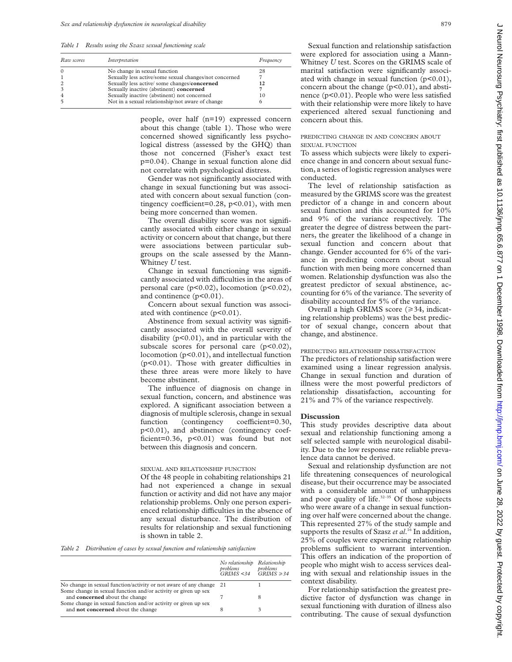*Table 1 Results using the Szasz sexual functioning scale*

| Raw scores | Interpretation                                         | Frequency |
|------------|--------------------------------------------------------|-----------|
|            | No change in sexual function                           | 28        |
|            | Sexually less active/some sexual changes/not concerned |           |
|            | Sexually less active/some changes/concerned            |           |
|            | Sexually inactive (abstinent) concerned                |           |
|            | Sexually inactive (abstinent) not concerned            | 10        |
|            | Not in a sexual relationship/not aware of change       |           |

people, over half (n=19) expressed concern about this change (table 1). Those who were concerned showed significantly less psychological distress (assessed by the GHQ) than those not concerned (Fisher's exact test p=0.04). Change in sexual function alone did not correlate with psychological distress.

Gender was not significantly associated with change in sexual functioning but was associated with concern about sexual function (contingency coefficient=0.28,  $p<0.01$ ), with men being more concerned than women.

The overall disability score was not significantly associated with either change in sexual activity or concern about that change, but there were associations between particular subgroups on the scale assessed by the Mann-Whitney *U* test.

Change in sexual functioning was significantly associated with difficulties in the areas of personal care (p<0.02), locomotion (p<0.02), and continence (p<0.01).

Concern about sexual function was associated with continence (p<0.01).

Abstinence from sexual activity was significantly associated with the overall severity of disability  $(p<0.01)$ , and in particular with the subscale scores for personal care  $(p<0.02)$ , locomotion (p<0.01), and intellectual function  $(p<0.01)$ . Those with greater difficulties in these three areas were more likely to have become abstinent.

The influence of diagnosis on change in sexual function, concern, and abstinence was explored. A significant association between a diagnosis of multiple sclerosis, change in sexual function (contingency coefficient=0.30, p<0.01), and abstinence (contingency coefficient=0.36,  $p<0.01$ ) was found but not between this diagnosis and concern.

#### SEXUAL AND RELATIONSHIP FUNCTION

Of the 48 people in cohabiting relationships 21 had not experienced a change in sexual function or activity and did not have any major relationship problems. Only one person experienced relationship difficulties in the absence of any sexual disturbance. The distribution of results for relationship and sexual functioning is shown in table 2.

*Table 2 Distribution of cases by sexual function and relationship satisfaction*

|                                                                                                  | No relationship Relationship<br>problems<br>GRIMS < 34 | problems<br>$GRIMS \geq 34$ |
|--------------------------------------------------------------------------------------------------|--------------------------------------------------------|-----------------------------|
| No change in sexual function/activity or not aware of any change 21                              |                                                        |                             |
| Some change in sexual function and/or activity or given up sex<br>and concerned about the change |                                                        | 8                           |
| Some change in sexual function and/or activity or given up sex                                   |                                                        | 3                           |
| and not concerned about the change                                                               | 8                                                      |                             |

Sexual function and relationship satisfaction were explored for association using a Mann-Whitney *U* test. Scores on the GRIMS scale of marital satisfaction were significantly associated with change in sexual function (p<0.01), concern about the change  $(p<0.01)$ , and abstinence (p<0.01). People who were less satisfied with their relationship were more likely to have experienced altered sexual functioning and concern about this.

# PREDICTING CHANGE IN AND CONCERN ABOUT SEXUAL FUNCTION

To assess which subjects were likely to experience change in and concern about sexual function, a series of logistic regression analyses were conducted.

The level of relationship satisfaction as measured by the GRIMS score was the greatest predictor of a change in and concern about sexual function and this accounted for 10% and 9% of the variance respectively. The greater the degree of distress between the partners, the greater the likelihood of a change in sexual function and concern about that change. Gender accounted for 6% of the variance in predicting concern about sexual function with men being more concerned than women. Relationship dysfunction was also the greatest predictor of sexual abstinence, accounting for 6% of the variance. The severity of disability accounted for 5% of the variance.

Overall a high GRIMS score  $(\geq 34$ , indicating relationship problems) was the best predictor of sexual change, concern about that change, and abstinence.

# PREDICTING RELATIONSHIP DISSATISFACTION

The predictors of relationship satisfaction were examined using a linear regression analysis. Change in sexual function and duration of illness were the most powerful predictors of relationship dissatisfaction, accounting for 21% and 7% of the variance respectively.

#### **Discussion**

This study provides descriptive data about sexual and relationship functioning among a self selected sample with neurological disability. Due to the low response rate reliable prevalence data cannot be derived.

Sexual and relationship dysfunction are not life threatening consequences of neurological disease, but their occurrence may be associated with a considerable amount of unhappiness and poor quality of life. $32-35$  Of those subjects who were aware of a change in sexual functioning over half were concerned about the change. This represented 27% of the study sample and supports the results of Szasz *et al*. <sup>16</sup> In addition, 25% of couples were experiencing relationship problems sufficient to warrant intervention. This offers an indication of the proportion of people who might wish to access services dealing with sexual and relationship issues in the context disability.

For relationship satisfaction the greatest predictive factor of dysfunction was change in sexual functioning with duration of illness also contributing. The cause of sexual dysfunction